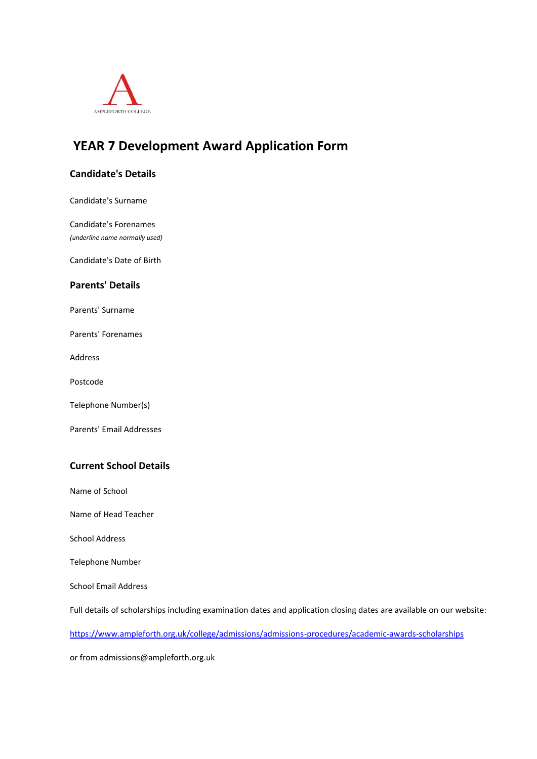

# **YEAR 7 Development Award Application Form**

## **Candidate's Details**

Candidate's Surname

Candidate's Forenames *(underline name normally used)*

Candidate's Date of Birth

# **Parents' Details**

Parents' Surname

Parents' Forenames

Address

Postcode

Telephone Number(s)

Parents' Email Addresses

## **Current School Details**

Name of School

Name of Head Teacher

School Address

Telephone Number

School Email Address

Full details of scholarships including examination dates and application closing dates are available on our website:

https://www.ampleforth.org.uk/college/admissions/admissions-procedures/academic-awards-scholarships

or from admissions@ampleforth.org.uk